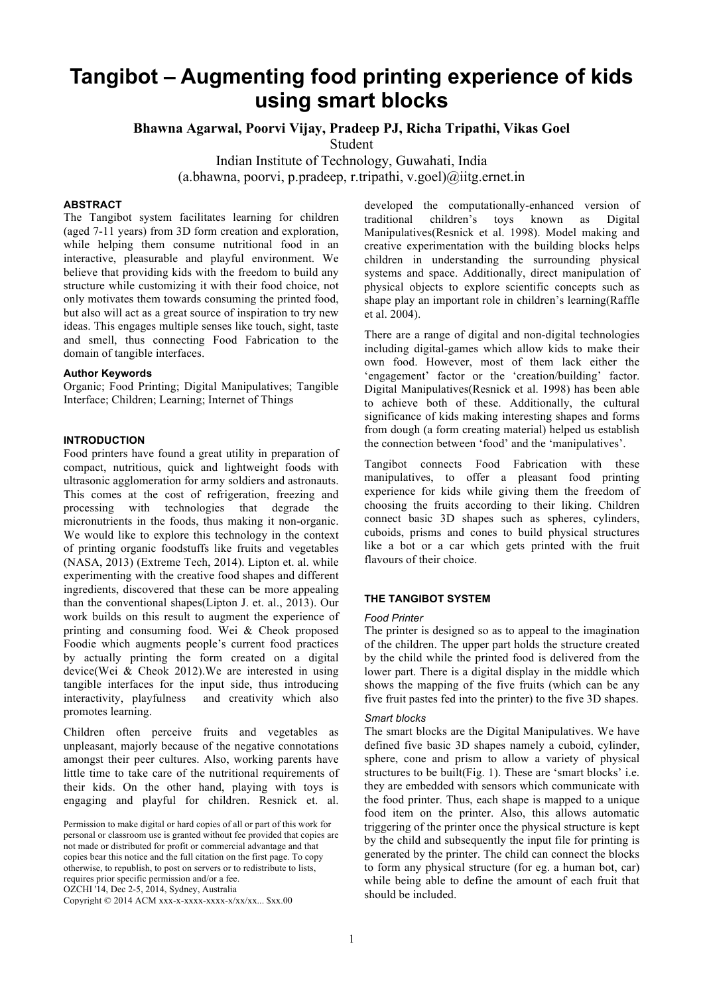# **Tangibot – Augmenting food printing experience of kids using smart blocks**

**Bhawna Agarwal, Poorvi Vijay, Pradeep PJ, Richa Tripathi, Vikas Goel**

Student

Indian Institute of Technology, Guwahati, India (a.bhawna, poorvi, p.pradeep, r.tripathi, v.goel) $\omega$ iitg.ernet.in

# **ABSTRACT**

The Tangibot system facilitates learning for children (aged 7-11 years) from 3D form creation and exploration, while helping them consume nutritional food in an interactive, pleasurable and playful environment. We believe that providing kids with the freedom to build any structure while customizing it with their food choice, not only motivates them towards consuming the printed food, but also will act as a great source of inspiration to try new ideas. This engages multiple senses like touch, sight, taste and smell, thus connecting Food Fabrication to the domain of tangible interfaces.

#### **Author Keywords**

Organic; Food Printing; Digital Manipulatives; Tangible Interface; Children; Learning; Internet of Things

#### **INTRODUCTION**

Food printers have found a great utility in preparation of compact, nutritious, quick and lightweight foods with ultrasonic agglomeration for army soldiers and astronauts. This comes at the cost of refrigeration, freezing and processing with technologies that degrade the micronutrients in the foods, thus making it non-organic. We would like to explore this technology in the context of printing organic foodstuffs like fruits and vegetables (NASA, 2013) (Extreme Tech, 2014). Lipton et. al. while experimenting with the creative food shapes and different ingredients, discovered that these can be more appealing than the conventional shapes(Lipton J. et. al., 2013). Our work builds on this result to augment the experience of printing and consuming food. Wei & Cheok proposed Foodie which augments people's current food practices by actually printing the form created on a digital device(Wei & Cheok 2012).We are interested in using tangible interfaces for the input side, thus introducing interactivity, playfulness and creativity which also promotes learning.

Children often perceive fruits and vegetables as unpleasant, majorly because of the negative connotations amongst their peer cultures. Also, working parents have little time to take care of the nutritional requirements of their kids. On the other hand, playing with toys is engaging and playful for children. Resnick et. al.

Copyright © 2014 ACM xxx-x-xxxx-xxxx-x/xx/xx... \$xx.00

developed the computationally-enhanced version of traditional children's toys known as Digital Manipulatives(Resnick et al. 1998). Model making and creative experimentation with the building blocks helps children in understanding the surrounding physical systems and space. Additionally, direct manipulation of physical objects to explore scientific concepts such as shape play an important role in children's learning(Raffle et al. 2004).

There are a range of digital and non-digital technologies including digital-games which allow kids to make their own food. However, most of them lack either the 'engagement' factor or the 'creation/building' factor. Digital Manipulatives(Resnick et al. 1998) has been able to achieve both of these. Additionally, the cultural significance of kids making interesting shapes and forms from dough (a form creating material) helped us establish the connection between 'food' and the 'manipulatives'.

Tangibot connects Food Fabrication with these manipulatives, to offer a pleasant food printing experience for kids while giving them the freedom of choosing the fruits according to their liking. Children connect basic 3D shapes such as spheres, cylinders, cuboids, prisms and cones to build physical structures like a bot or a car which gets printed with the fruit flavours of their choice.

## **THE TANGIBOT SYSTEM**

#### *Food Printer*

The printer is designed so as to appeal to the imagination of the children. The upper part holds the structure created by the child while the printed food is delivered from the lower part. There is a digital display in the middle which shows the mapping of the five fruits (which can be any five fruit pastes fed into the printer) to the five 3D shapes.

## *Smart blocks*

The smart blocks are the Digital Manipulatives. We have defined five basic 3D shapes namely a cuboid, cylinder, sphere, cone and prism to allow a variety of physical structures to be built(Fig. 1). These are 'smart blocks' i.e. they are embedded with sensors which communicate with the food printer. Thus, each shape is mapped to a unique food item on the printer. Also, this allows automatic triggering of the printer once the physical structure is kept by the child and subsequently the input file for printing is generated by the printer. The child can connect the blocks to form any physical structure (for eg. a human bot, car) while being able to define the amount of each fruit that should be included.

Permission to make digital or hard copies of all or part of this work for personal or classroom use is granted without fee provided that copies are not made or distributed for profit or commercial advantage and that copies bear this notice and the full citation on the first page. To copy otherwise, to republish, to post on servers or to redistribute to lists, requires prior specific permission and/or a fee. OZCHI '14, Dec 2-5, 2014, Sydney, Australia